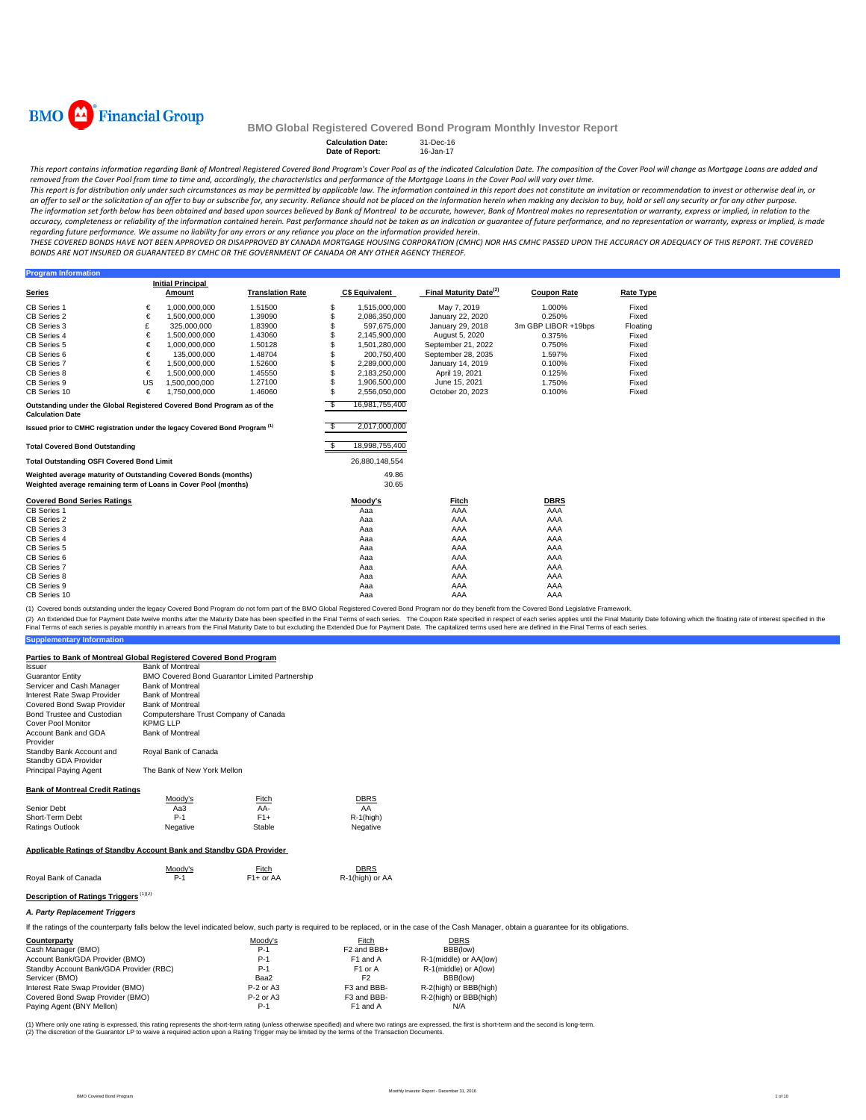

**Program Information**

## **BMO Global Registered Covered Bond Program Monthly Investor Report**

#### **Calculation Date:** 31-Dec-16 **Date of Report:** 16-Jan-17

This report contains information regarding Bank of Montreal Registered Covered Bond Program's Cover Pool as of the indicated Calculation Date. The composition of the Cover Pool will change as Mortgage Loans are added and removed from the Cover Pool from time to time and, accordingly, the characteristics and performance of the Mortgage Loans in the Cover Pool will vary over time.

This report is for distribution only under such circumstances as may be permitted by applicable law. The information contained in this report does not constitute an invitation or recommendation to invest or otherwise deal an offer to sell or the solicitation of an offer to buy or subscribe for, any security. Reliance should not be placed on the information herein when making any decision to buy, hold or sell any security or for any other pu The information set forth below has been obtained and based upon sources believed by Bank of Montreal to be accurate, however, Bank of Montreal makes no representation or warranty, express or implied, in relation to the accuracy, completeness or reliability of the information contained herein. Past performance should not be taken as an indication or guarantee of future performance, and no representation or warranty, express or implied, is regarding future performance. We assume no liability for any errors or any reliance you place on the information provided herein.

THESE COVERED BONDS HAVE NOT BEEN APPROVED OR DISAPPROVED BY CANADA MORTGAGE HOUSING CORPORATION (CMHC) NOR HAS CMHC PASSED UPON THE ACCURACY OR ADEQUACY OF THIS REPORT. THE COVERED BONDS ARE NOT INSURED OR GUARANTEED BY CMHC OR THE GOVERNMENT OF CANADA OR ANY OTHER AGENCY THEREOF.

|                                                                                                         |                                                                 | <b>Initial Principal</b> |                         |     |                       |                                    |                     |                  |
|---------------------------------------------------------------------------------------------------------|-----------------------------------------------------------------|--------------------------|-------------------------|-----|-----------------------|------------------------------------|---------------------|------------------|
| Series                                                                                                  |                                                                 | Amount                   | <b>Translation Rate</b> |     | <b>C\$ Equivalent</b> | Final Maturity Date <sup>(2)</sup> | <b>Coupon Rate</b>  | <b>Rate Type</b> |
| CB Series 1                                                                                             | €                                                               | 1,000,000,000            | 1.51500                 | \$  | 1,515,000,000         | May 7, 2019                        | 1.000%              | Fixed            |
| <b>CB Series 2</b>                                                                                      | €                                                               | 1.500.000.000            | 1.39090                 | \$  | 2.086.350.000         | January 22, 2020                   | 0.250%              | Fixed            |
| CB Series 3                                                                                             | £                                                               | 325,000,000              | 1.83900                 |     | 597,675,000           | January 29, 2018                   | 3m GBP LIBOR +19bps | Floating         |
| CB Series 4                                                                                             | €                                                               | 1,500,000,000            | 1.43060                 |     | 2,145,900,000         | August 5, 2020                     | 0.375%              | Fixed            |
| CB Series 5                                                                                             | €                                                               | 1,000,000,000            | 1.50128                 | \$  | 1,501,280,000         | September 21, 2022                 | 0.750%              | Fixed            |
| CB Series 6                                                                                             | €                                                               | 135,000,000              | 1.48704                 | \$  | 200.750.400           | September 28, 2035                 | 1.597%              | Fixed            |
| <b>CB Series 7</b>                                                                                      | €                                                               | 1,500,000,000            | 1.52600                 | \$  | 2,289,000,000         | January 14, 2019                   | 0.100%              | Fixed            |
| CB Series 8                                                                                             | €                                                               | 1,500,000,000            | 1.45550                 | \$  | 2,183,250,000         | April 19, 2021                     | 0.125%              | Fixed            |
| CB Series 9                                                                                             | US                                                              | 1,500,000,000            | 1.27100                 | \$  | 1,906,500,000         | June 15, 2021                      | 1.750%              | Fixed            |
| CB Series 10                                                                                            | €                                                               | 1,750,000,000            | 1.46060                 | \$  | 2,556,050,000         | October 20, 2023                   | 0.100%              | Fixed            |
| \$<br>Outstanding under the Global Registered Covered Bond Program as of the<br><b>Calculation Date</b> |                                                                 |                          |                         |     | 16,981,755,400        |                                    |                     |                  |
| Issued prior to CMHC registration under the legacy Covered Bond Program <sup>(1)</sup>                  |                                                                 |                          |                         | -SS | 2,017,000,000         |                                    |                     |                  |
| <b>Total Covered Bond Outstanding</b>                                                                   |                                                                 |                          |                         |     | 18,998,755,400        |                                    |                     |                  |
| <b>Total Outstanding OSFI Covered Bond Limit</b>                                                        |                                                                 |                          |                         |     | 26,880,148,554        |                                    |                     |                  |
| Weighted average maturity of Outstanding Covered Bonds (months)                                         |                                                                 |                          |                         |     | 49.86                 |                                    |                     |                  |
|                                                                                                         | Weighted average remaining term of Loans in Cover Pool (months) |                          |                         |     |                       |                                    |                     |                  |
|                                                                                                         |                                                                 |                          |                         |     | 30.65                 |                                    |                     |                  |
| <b>Covered Bond Series Ratings</b>                                                                      |                                                                 |                          |                         |     | Moody's               | Fitch                              | <b>DBRS</b>         |                  |
| CB Series 1                                                                                             |                                                                 |                          |                         |     | Aaa                   | AAA                                | AAA                 |                  |
| <b>CB Series 2</b>                                                                                      |                                                                 |                          |                         |     | Aaa                   | AAA                                | AAA                 |                  |
| CB Series 3                                                                                             |                                                                 |                          |                         |     | Aaa                   | AAA                                | AAA                 |                  |
| CB Series 4                                                                                             |                                                                 |                          |                         |     | Aaa                   | AAA                                | AAA                 |                  |
| CB Series 5                                                                                             |                                                                 |                          |                         |     | Aaa                   | AAA                                | AAA                 |                  |
| CB Series 6                                                                                             |                                                                 |                          |                         |     | Aaa                   | AAA                                | AAA                 |                  |
| CB Series 7                                                                                             |                                                                 |                          |                         |     | Aaa                   | AAA                                | AAA                 |                  |
| CB Series 8                                                                                             |                                                                 |                          |                         |     | Aaa                   | AAA                                | AAA                 |                  |
| CB Series 9<br>CB Series 10                                                                             |                                                                 |                          |                         |     | Aaa                   | AAA                                | AAA<br>AAA          |                  |

(1) Covered bonds outstanding under the legacy Covered Bond Program do not form part of the BMO Global Registered Covered Bond Program nor do they benefit from the Covered Bond Legislative Framework.

**Supplementary Information** (2) An Extended Due for Payment Date twelve months after the Maturity Date has been specified in the Final Terms of each series. The Coupon Rate specified in the founded but expecified in the Extended Due for Payment Date.

| Parties to Bank of Montreal Global Registered Covered Bond Program  |                                       |                                                       |                                                                                                                                                                                              |             |  |
|---------------------------------------------------------------------|---------------------------------------|-------------------------------------------------------|----------------------------------------------------------------------------------------------------------------------------------------------------------------------------------------------|-------------|--|
| Issuer                                                              | <b>Bank of Montreal</b>               |                                                       |                                                                                                                                                                                              |             |  |
| <b>Guarantor Entity</b>                                             |                                       | <b>BMO Covered Bond Guarantor Limited Partnership</b> |                                                                                                                                                                                              |             |  |
| Servicer and Cash Manager                                           | <b>Bank of Montreal</b>               |                                                       |                                                                                                                                                                                              |             |  |
| Interest Rate Swap Provider                                         | <b>Bank of Montreal</b>               |                                                       |                                                                                                                                                                                              |             |  |
| Covered Bond Swap Provider                                          | <b>Bank of Montreal</b>               |                                                       |                                                                                                                                                                                              |             |  |
| Bond Trustee and Custodian                                          | Computershare Trust Company of Canada |                                                       |                                                                                                                                                                                              |             |  |
| Cover Pool Monitor                                                  | <b>KPMG LLP</b>                       |                                                       |                                                                                                                                                                                              |             |  |
| Account Bank and GDA                                                | <b>Bank of Montreal</b>               |                                                       |                                                                                                                                                                                              |             |  |
| Provider                                                            |                                       |                                                       |                                                                                                                                                                                              |             |  |
| Standby Bank Account and                                            | Royal Bank of Canada                  |                                                       |                                                                                                                                                                                              |             |  |
| Standby GDA Provider                                                |                                       |                                                       |                                                                                                                                                                                              |             |  |
| <b>Principal Paying Agent</b>                                       | The Bank of New York Mellon           |                                                       |                                                                                                                                                                                              |             |  |
| <b>Bank of Montreal Credit Ratings</b>                              |                                       |                                                       |                                                                                                                                                                                              |             |  |
|                                                                     | Moody's                               | Fitch                                                 | <b>DBRS</b>                                                                                                                                                                                  |             |  |
| Senior Debt                                                         | Aa3                                   | AA-                                                   | AA                                                                                                                                                                                           |             |  |
| Short-Term Debt                                                     | $P-1$                                 | $F1+$                                                 | $R-1$ (high)                                                                                                                                                                                 |             |  |
| <b>Ratings Outlook</b>                                              | Negative                              | Stable                                                | Negative                                                                                                                                                                                     |             |  |
| Applicable Ratings of Standby Account Bank and Standby GDA Provider |                                       |                                                       |                                                                                                                                                                                              |             |  |
|                                                                     | Moody's                               | Fitch                                                 | <b>DBRS</b>                                                                                                                                                                                  |             |  |
| Roval Bank of Canada                                                | $P-1$                                 | F1+ or AA                                             | R-1(high) or AA                                                                                                                                                                              |             |  |
| Description of Ratings Triggers <sup>(1)(2)</sup>                   |                                       |                                                       |                                                                                                                                                                                              |             |  |
| A. Party Replacement Triggers                                       |                                       |                                                       |                                                                                                                                                                                              |             |  |
|                                                                     |                                       |                                                       | If the ratings of the counterparty falls below the level indicated below, such party is required to be replaced, or in the case of the Cash Manager, obtain a quarantee for its obligations. |             |  |
| Counterparty                                                        |                                       | Moodv's                                               | Fitch                                                                                                                                                                                        | <b>DBRS</b> |  |

| _____       |                         |                        |
|-------------|-------------------------|------------------------|
| $P-1$       | F <sub>2</sub> and BBB+ | BBB(low)               |
| $P-1$       | F <sub>1</sub> and A    | R-1(middle) or AA(low) |
| P-1         | F <sub>1</sub> or A     | R-1(middle) or A(low)  |
| Baa2        | F2                      | BBB(low)               |
| $P-2$ or A3 | F3 and BBB-             | R-2(high) or BBB(high) |
| $P-2$ or A3 | F3 and BBB-             | R-2(high) or BBB(high) |
| $P-1$       | F <sub>1</sub> and A    | N/A                    |
|             |                         |                        |

(1) Where only one rating is expressed, this rating represents the short-term rating (unless otherwise specified) and where two ratings are expressed, the first is short-term and the second is long-term. (2) The discretion of the Guarantor LP to waive a required action upon a Rating Trigger may be limited by the terms of the Transaction Documents.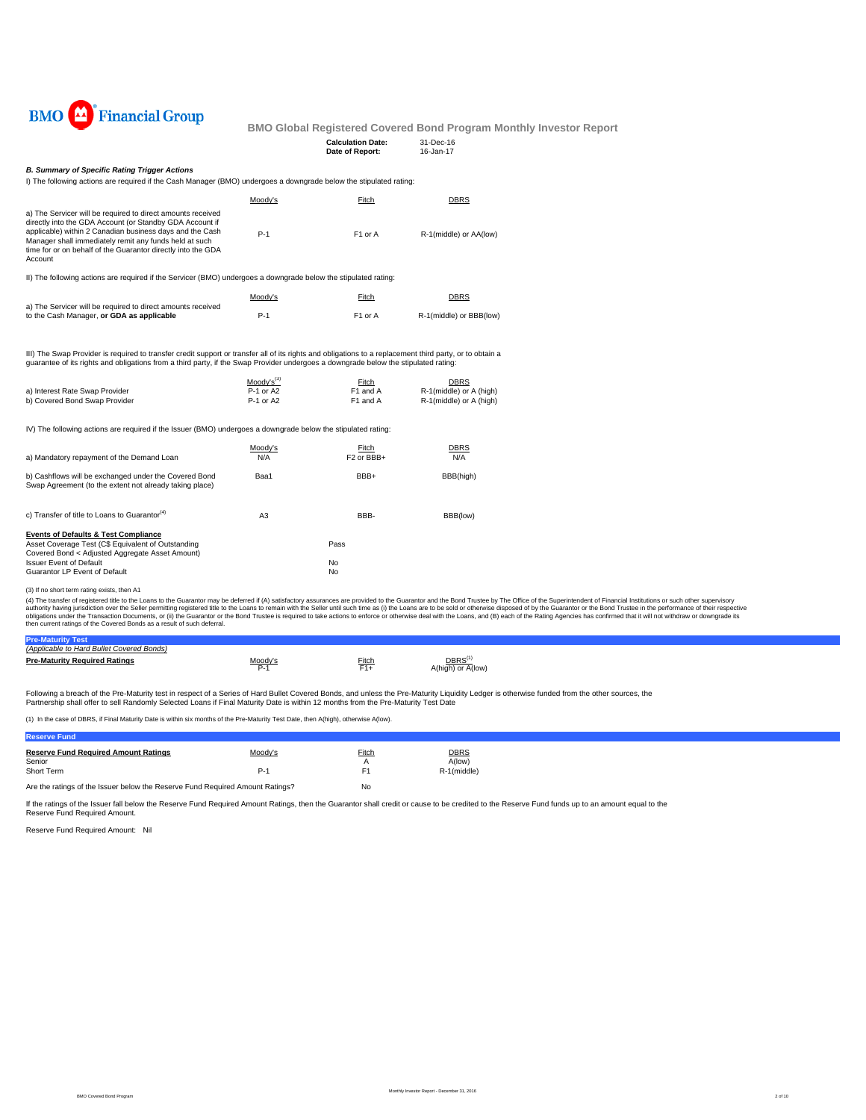

| $\sim$ giotoroa oo roroa pona riogi |           |
|-------------------------------------|-----------|
| <b>Calculation Date:</b>            | 31-Dec-16 |
| Date of Report:                     | 16-Jan-17 |
|                                     |           |

## *B. Summary of Specific Rating Trigger Actions*

I) The following actions are required if the Cash Manager (BMO) undergoes a downgrade below the stipulated rating:

|                                                                                                                                                                                                                                                                                                                                                                                               | Moody's                                  | Fitch                                             | <b>DBRS</b>                                                |
|-----------------------------------------------------------------------------------------------------------------------------------------------------------------------------------------------------------------------------------------------------------------------------------------------------------------------------------------------------------------------------------------------|------------------------------------------|---------------------------------------------------|------------------------------------------------------------|
| a) The Servicer will be required to direct amounts received<br>directly into the GDA Account (or Standby GDA Account if<br>applicable) within 2 Canadian business days and the Cash<br>Manager shall immediately remit any funds held at such<br>time for or on behalf of the Guarantor directly into the GDA<br>Account                                                                      | $P-1$                                    | F1 or A                                           | R-1(middle) or AA(low)                                     |
| II) The following actions are required if the Servicer (BMO) undergoes a downgrade below the stipulated rating:                                                                                                                                                                                                                                                                               |                                          |                                                   |                                                            |
|                                                                                                                                                                                                                                                                                                                                                                                               | Moody's                                  | Fitch                                             | <b>DBRS</b>                                                |
| a) The Servicer will be required to direct amounts received<br>to the Cash Manager, or GDA as applicable                                                                                                                                                                                                                                                                                      | $P-1$                                    | F1 or A                                           | R-1(middle) or BBB(low)                                    |
| III) The Swap Provider is required to transfer credit support or transfer all of its rights and obligations to a replacement third party, or to obtain a<br>quarantee of its rights and obligations from a third party, if the Swap Provider undergoes a downgrade below the stipulated rating:                                                                                               |                                          |                                                   |                                                            |
| a) Interest Rate Swap Provider<br>b) Covered Bond Swap Provider                                                                                                                                                                                                                                                                                                                               | $Mody's^{(3)}$<br>P-1 or A2<br>P-1 or A2 | Fitch<br>F1 and A<br>F <sub>1</sub> and A         | DBRS<br>R-1(middle) or A (high)<br>R-1(middle) or A (high) |
| IV) The following actions are required if the Issuer (BMO) undergoes a downgrade below the stipulated rating:                                                                                                                                                                                                                                                                                 |                                          |                                                   |                                                            |
| a) Mandatory repayment of the Demand Loan                                                                                                                                                                                                                                                                                                                                                     | Moody's<br>N/A                           | <b>Fitch</b><br>F <sub>2</sub> or BB <sub>H</sub> | <b>DBRS</b><br>N/A                                         |
| b) Cashflows will be exchanged under the Covered Bond<br>Swap Agreement (to the extent not already taking place)                                                                                                                                                                                                                                                                              | Baa1                                     | BBB+                                              | BBB(high)                                                  |
| c) Transfer of title to Loans to Guarantor <sup>(4)</sup>                                                                                                                                                                                                                                                                                                                                     | A <sub>3</sub>                           | BBB-                                              | BBB(low)                                                   |
| <b>Events of Defaults &amp; Test Compliance</b>                                                                                                                                                                                                                                                                                                                                               |                                          |                                                   |                                                            |
| Asset Coverage Test (C\$ Equivalent of Outstanding<br>Covered Bond < Adjusted Aggregate Asset Amount)                                                                                                                                                                                                                                                                                         |                                          | Pass                                              |                                                            |
| <b>Issuer Event of Default</b>                                                                                                                                                                                                                                                                                                                                                                |                                          | No                                                |                                                            |
| Guarantor LP Event of Default                                                                                                                                                                                                                                                                                                                                                                 |                                          | No                                                |                                                            |
| (3) If no short term rating exists, then A1                                                                                                                                                                                                                                                                                                                                                   |                                          |                                                   |                                                            |
| (4) The transfer of registered title to the Loans to the Guarantor may be deferred if (A) satisfactory assurances are provided to the Guarantor and the Bond Trustee by The Office of the<br>authority having jurisdiction over the Seller permitting registered title to the Loans to remain with the Seller until such time as (i) the Loans are to be sold or otherwise disposed of by the |                                          |                                                   |                                                            |

(3) If no short term rating exists, then A1<br>(4) The transfer of registered title to the Lalans to the Guarantor may be deferred if (A) satisfactory assurances are provided to the Guarantor and the Bond Trustee by The Offic

| (Applicable to Hard Bullet Covered Bonds) |                        |       |                                         |  |
|-------------------------------------------|------------------------|-------|-----------------------------------------|--|
| <b>Pre-Maturity Required Ratings</b>      | 100 <sub>1</sub><br>∼- | Fitch | DBRS <sup>(*</sup><br>A(high) or A(low) |  |

Following a breach of the Pre-Maturity test in respect of a Series of Hard Bullet Covered Bonds, and unless the Pre-Maturity Liquidity Ledger is otherwise funded from the other sources, the<br>Partnership shall offer to sell

(1) In the case of DBRS, if Final Maturity Date is within six months of the Pre-Maturity Test Date, then A(high), otherwise A(low).

| <b>Reserve Fund</b>                                                           |                |             |                                      |
|-------------------------------------------------------------------------------|----------------|-------------|--------------------------------------|
| <b>Reserve Fund Required Amount Ratings</b><br>Senior<br>Short Term           | Moody's<br>P-' | Fitch<br>F1 | <b>DBRS</b><br>A(low)<br>R-1(middle) |
| Are the ratings of the Issuer below the Reserve Fund Required Amount Ratings? |                | No          |                                      |

If the ratings of the Issuer fall below the Reserve Fund Required Amount Ratings, then the Guarantor shall credit or cause to be credited to the Reserve Fund funds up to an amount equal to the Reserve Fund Required Amount.

Reserve Fund Required Amount: Nil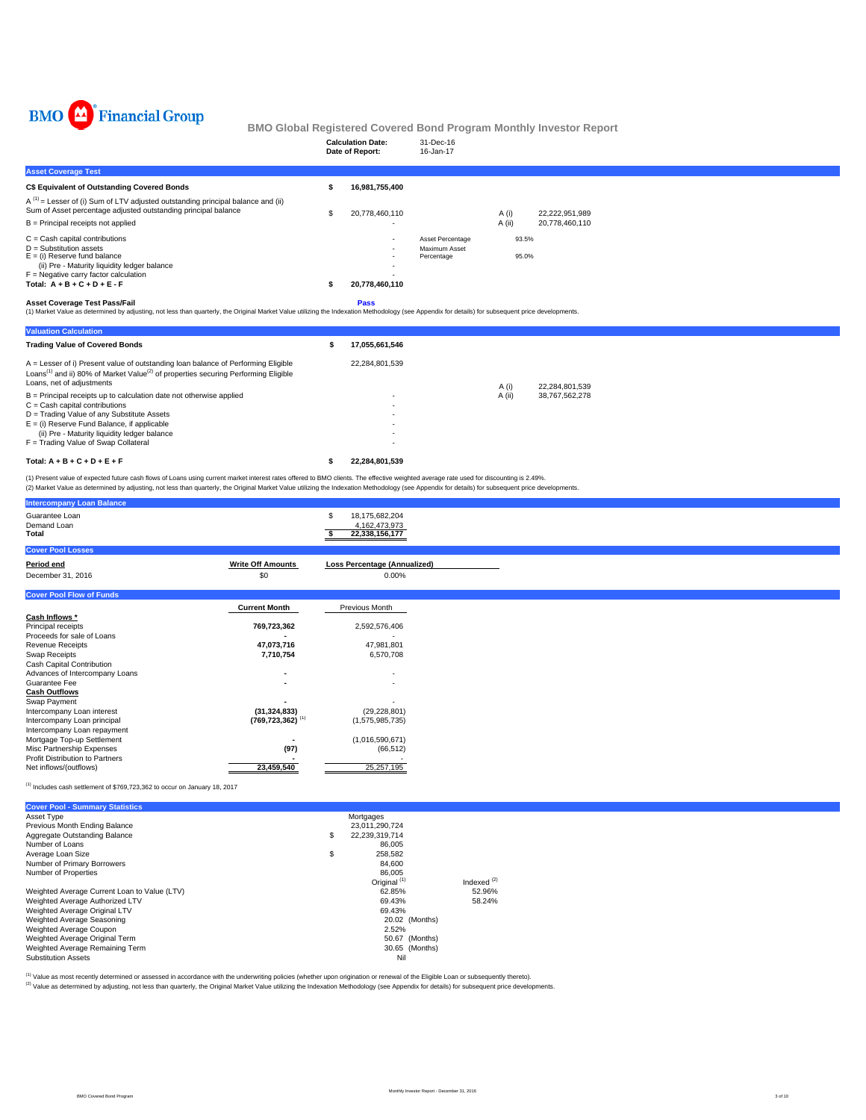

|                                                                                                                                                                                                                                                                                                                                                                                               |    | <b>Calculation Date:</b><br>Date of Report:       | 31-Dec-16<br>16-Jan-17                          |                |                                  |  |
|-----------------------------------------------------------------------------------------------------------------------------------------------------------------------------------------------------------------------------------------------------------------------------------------------------------------------------------------------------------------------------------------------|----|---------------------------------------------------|-------------------------------------------------|----------------|----------------------------------|--|
| <b>Asset Coverage Test</b>                                                                                                                                                                                                                                                                                                                                                                    |    |                                                   |                                                 |                |                                  |  |
| <b>C\$ Equivalent of Outstanding Covered Bonds</b>                                                                                                                                                                                                                                                                                                                                            | s  | 16,981,755,400                                    |                                                 |                |                                  |  |
| $A^{(1)}$ = Lesser of (i) Sum of LTV adjusted outstanding principal balance and (ii)<br>Sum of Asset percentage adjusted outstanding principal balance                                                                                                                                                                                                                                        | S  | 20,778,460,110                                    |                                                 | A (i)          | 22,222,951,989                   |  |
| $B =$ Principal receipts not applied                                                                                                                                                                                                                                                                                                                                                          |    |                                                   |                                                 | A (ii)         | 20,778,460,110                   |  |
| $C = Cash$ capital contributions<br>$D =$ Substitution assets<br>$E =$ (i) Reserve fund balance<br>(ii) Pre - Maturity liquidity ledger balance<br>$F =$ Negative carry factor calculation<br>Total: $A + B + C + D + E - F$                                                                                                                                                                  |    | 20,778,460,110                                    | Asset Percentage<br>Maximum Asset<br>Percentage | 93.5%<br>95.0% |                                  |  |
| <b>Asset Coverage Test Pass/Fail</b><br>(1) Market Value as determined by adjusting, not less than quarterly, the Original Market Value utilizing the Indexation Methodology (see Appendix for details) for subsequent price developments.                                                                                                                                                    |    | Pass                                              |                                                 |                |                                  |  |
| <b>Valuation Calculation</b>                                                                                                                                                                                                                                                                                                                                                                  |    |                                                   |                                                 |                |                                  |  |
| <b>Trading Value of Covered Bonds</b>                                                                                                                                                                                                                                                                                                                                                         | \$ | 17,055,661,546                                    |                                                 |                |                                  |  |
| A = Lesser of i) Present value of outstanding loan balance of Performing Eligible<br>Loans <sup>(1)</sup> and ii) 80% of Market Value <sup>(2)</sup> of properties securing Performing Eligible<br>Loans, net of adjustments                                                                                                                                                                  |    | 22,284,801,539                                    |                                                 | A(i)           |                                  |  |
| $B =$ Principal receipts up to calculation date not otherwise applied<br>$C =$ Cash capital contributions<br>D = Trading Value of any Substitute Assets<br>$E =$ (i) Reserve Fund Balance, if applicable<br>(ii) Pre - Maturity liquidity ledger balance<br>F = Trading Value of Swap Collateral                                                                                              |    |                                                   |                                                 | A (ii)         | 22,284,801,539<br>38,767,562,278 |  |
| Total: $A + B + C + D + E + F$                                                                                                                                                                                                                                                                                                                                                                | s  | 22.284.801.539                                    |                                                 |                |                                  |  |
| (1) Present value of expected future cash flows of Loans using current market interest rates offered to BMO clients. The effective weighted average rate used for discounting is 2.49%.<br>(2) Market Value as determined by adjusting, not less than quarterly, the Original Market Value utilizing the Indexation Methodology (see Appendix for details) for subsequent price developments. |    |                                                   |                                                 |                |                                  |  |
| <b>Intercompany Loan Balance</b>                                                                                                                                                                                                                                                                                                                                                              |    |                                                   |                                                 |                |                                  |  |
| Guarantee Loan<br>Demand Loan<br>Total                                                                                                                                                                                                                                                                                                                                                        |    | 18,175,682,204<br>4,162,473,973<br>22,338,156,177 |                                                 |                |                                  |  |
| <b>Cover Pool Losses</b>                                                                                                                                                                                                                                                                                                                                                                      |    |                                                   |                                                 |                |                                  |  |
| <b>Write Off Amounts</b><br>Period end                                                                                                                                                                                                                                                                                                                                                        |    | Loss Percentage (Annualized)                      |                                                 |                |                                  |  |

| December 31, 2016               | \$0                              | 0.00%           |
|---------------------------------|----------------------------------|-----------------|
|                                 |                                  |                 |
| <b>Cover Pool Flow of Funds</b> |                                  |                 |
|                                 | <b>Current Month</b>             | Previous Month  |
| Cash Inflows *                  |                                  |                 |
| Principal receipts              | 769,723,362                      | 2,592,576,406   |
| Proceeds for sale of Loans      |                                  |                 |
| <b>Revenue Receipts</b>         | 47,073,716                       | 47,981,801      |
| <b>Swap Receipts</b>            | 7,710,754                        | 6,570,708       |
| Cash Capital Contribution       |                                  |                 |
| Advances of Intercompany Loans  | $\sim$                           |                 |
| Guarantee Fee                   | $\sim$                           | ٠               |
| <b>Cash Outflows</b>            |                                  |                 |
| Swap Payment                    |                                  |                 |
| Intercompany Loan interest      | (31, 324, 833)                   | (29, 228, 801)  |
| Intercompany Loan principal     | $(769, 723, 362)$ <sup>(1)</sup> | (1,575,985,735) |
| Intercompany Loan repayment     |                                  |                 |
| Mortgage Top-up Settlement      |                                  | (1,016,590,671) |
| Misc Partnership Expenses       | (97)                             | (66, 512)       |
| Profit Distribution to Partners |                                  |                 |
| Net inflows/(outflows)          | 23,459,540                       | 25, 257, 195    |

 $^{(1)}$  Includes cash settlement of \$769,723,362 to occur on January 18, 2017

| <b>Cover Pool - Summary Statistics</b>       |                         |               |
|----------------------------------------------|-------------------------|---------------|
| Asset Type                                   | Mortgages               |               |
| Previous Month Ending Balance                | 23,011,290,724          |               |
| Aggregate Outstanding Balance                | \$<br>22,239,319,714    |               |
| Number of Loans                              | 86,005                  |               |
| Average Loan Size                            | \$<br>258.582           |               |
| Number of Primary Borrowers                  | 84.600                  |               |
| Number of Properties                         | 86.005                  |               |
|                                              | Original <sup>(1)</sup> | Indexed $(2)$ |
| Weighted Average Current Loan to Value (LTV) | 62.85%                  | 52.96%        |
| Weighted Average Authorized LTV              | 69.43%                  | 58.24%        |
| Weighted Average Original LTV                | 69.43%                  |               |
| Weighted Average Seasoning                   | 20.02 (Months)          |               |
| Weighted Average Coupon                      | 2.52%                   |               |
| Weighted Average Original Term               | 50.67 (Months)          |               |
| Weighted Average Remaining Term              | 30.65 (Months)          |               |
| <b>Substitution Assets</b>                   | Nil                     |               |

<sup>(t)</sup> Value as most recently determined or assessed in accordance with the underwriting policies (whether upon origination or renewal of the Eligible Loan or subsequently thereto).<br><sup>(2)</sup> Value as determined by adjusting, n

BMO Covered Bond Program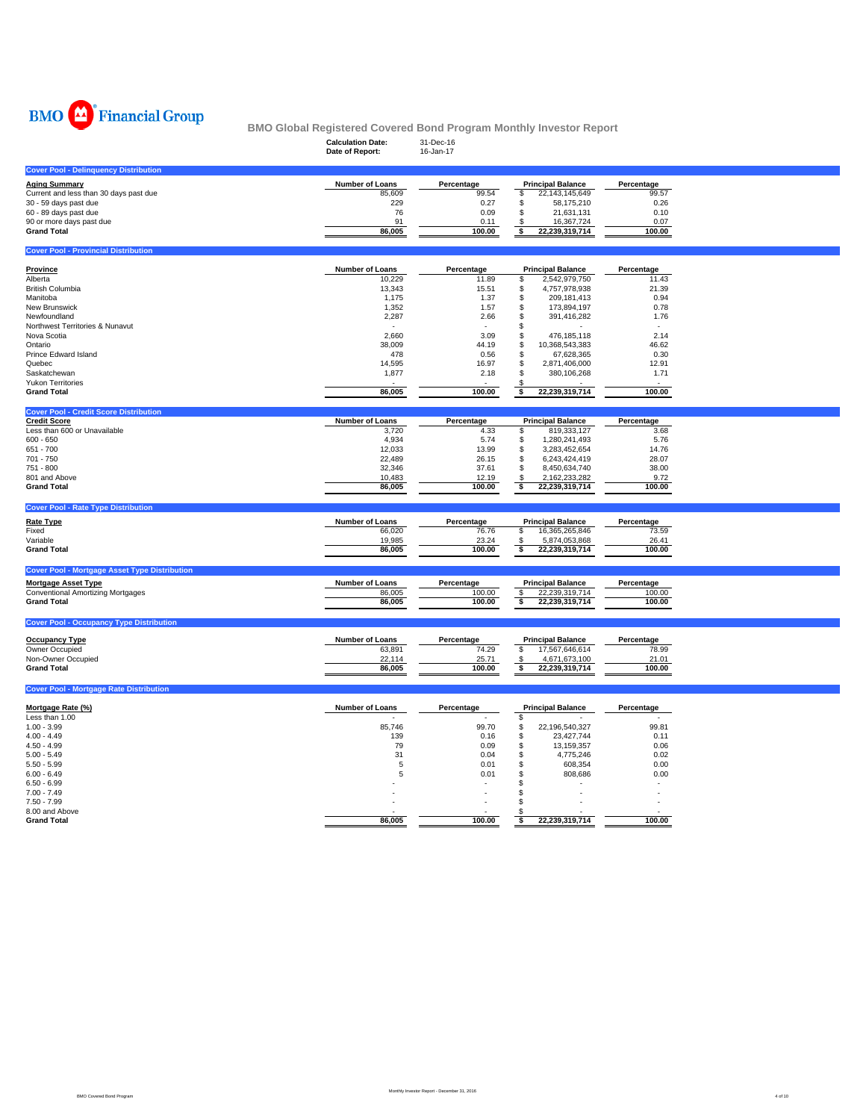

|                                                                        | <b>Calculation Date:</b><br>Date of Report: | 31-Dec-16<br>16-Jan-17 |                                                  |                      |  |
|------------------------------------------------------------------------|---------------------------------------------|------------------------|--------------------------------------------------|----------------------|--|
| <b>Cover Pool - Delinquency Distribution</b>                           |                                             |                        |                                                  |                      |  |
| <b>Aging Summary</b><br>Current and less than 30 days past due         | Number of Loans<br>85,609                   | Percentage<br>99.54    | <b>Principal Balance</b><br>22,143,145,649<br>\$ | Percentage<br>99.57  |  |
| 30 - 59 days past due                                                  | 229                                         | 0.27                   | \$<br>58,175,210                                 | 0.26                 |  |
| 60 - 89 days past due                                                  | 76                                          | 0.09                   | \$<br>21,631,131                                 | 0.10                 |  |
| 90 or more days past due                                               | 91                                          | 0.11                   | 16,367,724<br>\$                                 | 0.07                 |  |
| <b>Grand Total</b>                                                     | 86,005                                      | 100.00                 | 22,239,319,714<br>\$                             | 100.00               |  |
| <b>Cover Pool - Provincial Distribution</b>                            |                                             |                        |                                                  |                      |  |
| <b>Province</b>                                                        | Number of Loans                             | Percentage             | <b>Principal Balance</b>                         | Percentage           |  |
| Alberta                                                                | 10,229                                      | 11.89                  | \$<br>2,542,979,750                              | 11.43                |  |
| British Columbia                                                       | 13,343                                      | 15.51                  | 4,757,978,938<br>\$                              | 21.39                |  |
| Manitoba                                                               | 1,175                                       | 1.37                   | \$<br>209, 181, 413                              | 0.94                 |  |
| New Brunswick                                                          | 1,352                                       | 1.57                   | \$<br>173,894,197                                | 0.78                 |  |
| Newfoundland                                                           | 2,287                                       | 2.66                   | \$<br>391,416,282                                | 1.76                 |  |
| Northwest Territories & Nunavut                                        |                                             |                        | \$                                               |                      |  |
| Nova Scotia                                                            | 2,660                                       | 3.09                   | \$<br>476,185,118                                | 2.14                 |  |
| Ontario<br>Prince Edward Island                                        | 38,009<br>478                               | 44.19<br>0.56          | \$<br>10,368,543,383<br>\$<br>67,628,365         | 46.62<br>0.30        |  |
| Quebec                                                                 | 14,595                                      | 16.97                  | \$<br>2,871,406,000                              | 12.91                |  |
| Saskatchewan                                                           | 1,877                                       | 2.18                   | \$<br>380,106,268                                | 1.71                 |  |
| <b>Yukon Territories</b>                                               |                                             |                        |                                                  |                      |  |
| <b>Grand Total</b>                                                     | 86,005                                      | 100.00                 | \$<br>22,239,319,714                             | 100.00               |  |
| <b>Cover Pool - Credit Score Distribution</b>                          |                                             |                        |                                                  |                      |  |
| <b>Credit Score</b>                                                    | <b>Number of Loans</b>                      | Percentage             | <b>Principal Balance</b>                         | Percentage           |  |
| Less than 600 or Unavailable                                           | 3,720                                       | 4.33                   | 819,333,127<br>\$                                | 3.68                 |  |
| $600 - 650$                                                            | 4,934                                       | 5.74                   | \$<br>1,280,241,493                              | 5.76                 |  |
| 651 - 700<br>701 - 750                                                 | 12,033                                      | 13.99                  | \$<br>3,283,452,654                              | 14.76                |  |
| 751 - 800                                                              | 22,489<br>32,346                            | 26.15<br>37.61         | \$<br>6,243,424,419<br>\$<br>8,450,634,740       | 28.07<br>38.00       |  |
| 801 and Above                                                          | 10,483                                      | 12.19                  | 2,162,233,282<br>\$                              | 9.72                 |  |
| <b>Grand Total</b>                                                     | 86,005                                      | 100.00                 | $\overline{\bullet}$<br>22,239,319,714           | 100.00               |  |
| <b>Cover Pool - Rate Type Distribution</b>                             |                                             |                        |                                                  |                      |  |
| <b>Rate Type</b>                                                       | Number of Loans                             |                        | <b>Principal Balance</b>                         |                      |  |
| Fixed                                                                  | 66,020                                      | Percentage<br>76.76    | \$<br>16,365,265,846                             | Percentage<br>73.59  |  |
| Variable                                                               | 19,985                                      | 23.24                  | 5,874,053,868<br>\$                              | 26.41                |  |
| <b>Grand Total</b>                                                     | 86,005                                      | 100.00                 | 22,239,319,714<br>\$                             | 100.00               |  |
|                                                                        |                                             |                        |                                                  |                      |  |
| <b>Cover Pool - Mortgage Asset Type Distribution</b>                   |                                             |                        |                                                  |                      |  |
| <b>Mortgage Asset Type</b><br><b>Conventional Amortizing Mortgages</b> | Number of Loans<br>86,005                   | Percentage<br>100.00   | <b>Principal Balance</b><br>22,239,319,714<br>\$ | Percentage<br>100.00 |  |
| <b>Grand Total</b>                                                     | 86,005                                      | 100.00                 | 22,239,319,714<br>\$                             | 100.00               |  |
|                                                                        |                                             |                        |                                                  |                      |  |
| <b>Cover Pool - Occupancy Type Distribution</b>                        |                                             |                        |                                                  |                      |  |
| <b>Occupancy Type</b>                                                  | <b>Number of Loans</b>                      | Percentage             | <b>Principal Balance</b>                         | Percentage           |  |
| Owner Occupied                                                         | 63,891                                      | 74.29                  | \$<br>17,567,646,614                             | 78.99                |  |
| Non-Owner Occupied                                                     | 22,114                                      | 25.71                  | \$<br>4,671,673,100                              | 21.01                |  |
| <b>Grand Total</b>                                                     | 86,005                                      | 100.00                 | \$<br>22,239,319,714                             | 100.00               |  |
| <b>Cover Pool - Mortgage Rate Distribution</b>                         |                                             |                        |                                                  |                      |  |
| Mortgage Rate (%)                                                      | Number of Loans                             | Percentage             | <b>Principal Balance</b>                         | Percentage           |  |
| Less than 1.00                                                         |                                             |                        | \$                                               |                      |  |
| $1.00 - 3.99$                                                          | 85,746                                      | 99.70                  | \$<br>22,196,540,327                             | 99.81                |  |
| $4.00 - 4.49$                                                          | 139                                         | 0.16                   | \$<br>23,427,744                                 | 0.11                 |  |
| $4.50 - 4.99$                                                          | 79                                          | 0.09                   | \$<br>13, 159, 357                               | 0.06                 |  |
| $5.00 - 5.49$                                                          | 31                                          | 0.04                   | \$<br>4,775,246                                  | 0.02                 |  |
| $5.50 - 5.99$                                                          | 5                                           | 0.01                   | \$<br>608,354                                    | 0.00                 |  |
| $6.00 - 6.49$<br>$6.50 - 6.99$                                         | 5                                           | 0.01                   | \$<br>808,686<br>\$                              | 0.00                 |  |
| $7.00 - 7.49$                                                          |                                             |                        | \$                                               |                      |  |
| $7.50 - 7.99$                                                          |                                             |                        | \$                                               |                      |  |
| 8.00 and Above                                                         |                                             |                        |                                                  |                      |  |
| <b>Grand Total</b>                                                     | 86,005                                      | 100.00                 | 22,239,319,714<br>\$                             | 100.00               |  |
|                                                                        |                                             |                        |                                                  |                      |  |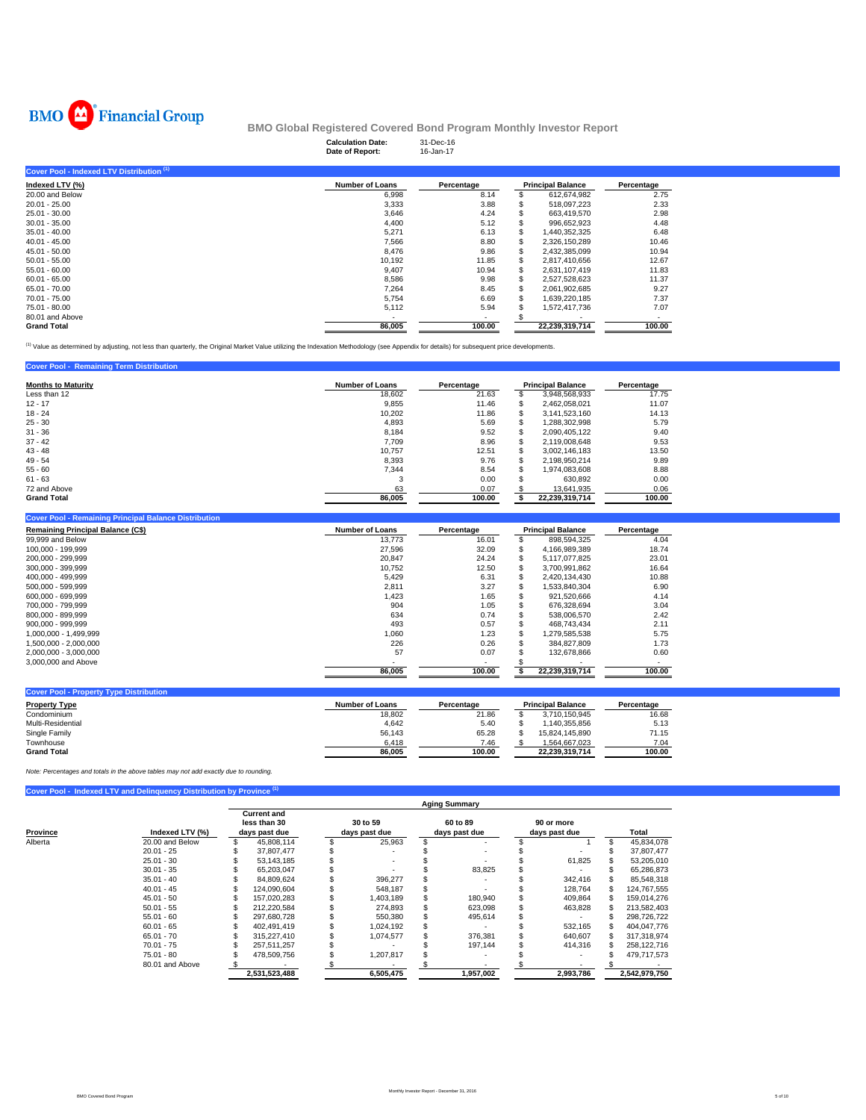

|                                           | <b>Calculation Date:</b><br>Date of Report: | 31-Dec-16<br>16-Jan-17 |   |                          |            |
|-------------------------------------------|---------------------------------------------|------------------------|---|--------------------------|------------|
| Cover Pool - Indexed LTV Distribution (1) |                                             |                        |   |                          |            |
| Indexed LTV (%)                           | <b>Number of Loans</b>                      | Percentage             |   | <b>Principal Balance</b> | Percentage |
| 20.00 and Below                           | 6,998                                       | 8.14                   |   | 612,674,982              | 2.75       |
| $20.01 - 25.00$                           | 3,333                                       | 3.88                   |   | 518,097,223              | 2.33       |
| 25.01 - 30.00                             | 3,646                                       | 4.24                   |   | 663.419.570              | 2.98       |
| $30.01 - 35.00$                           | 4,400                                       | 5.12                   |   | 996.652.923              | 4.48       |
| $35.01 - 40.00$                           | 5,271                                       | 6.13                   |   | 1,440,352,325            | 6.48       |
| $40.01 - 45.00$                           | 7,566                                       | 8.80                   | S | 2,326,150,289            | 10.46      |
| $45.01 - 50.00$                           | 8,476                                       | 9.86                   | S | 2,432,385,099            | 10.94      |
| $50.01 - 55.00$                           | 10,192                                      | 11.85                  | S | 2.817.410.656            | 12.67      |
| $55.01 - 60.00$                           | 9,407                                       | 10.94                  | S | 2,631,107,419            | 11.83      |
| $60.01 - 65.00$                           | 8,586                                       | 9.98                   |   | 2,527,528,623            | 11.37      |
| 65.01 - 70.00                             | 7,264                                       | 8.45                   |   | 2,061,902,685            | 9.27       |
| 70.01 - 75.00                             | 5,754                                       | 6.69                   |   | 1,639,220,185            | 7.37       |
| 75.01 - 80.00                             | 5,112                                       | 5.94                   |   | 1,572,417,736            | 7.07       |
| 80.01 and Above                           |                                             | ۰                      |   | ٠                        |            |
| <b>Grand Total</b>                        | 86.005                                      | 100.00                 |   | 22,239,319,714           | 100.00     |

(1) Value as determined by adjusting, not less than quarterly, the Original Market Value utilizing the Indexation Methodology (see Appendix for details) for subsequent price developments.

## **Cover Pool - Remaining Term Distribution**

| <b>Months to Maturity</b> | <b>Number of Loans</b> | Percentage |                | <b>Principal Balance</b> | Percentage |
|---------------------------|------------------------|------------|----------------|--------------------------|------------|
| Less than 12              | 18.602                 | 21.63      |                | 3,948,568,933            | 17.75      |
| $12 - 17$                 | 9,855                  | 11.46      |                | 2.462.058.021            | 11.07      |
| $18 - 24$                 | 10.202                 | 11.86      |                | 3.141.523.160            | 14.13      |
| $25 - 30$                 | 4.893                  | 5.69       | э              | 1,288,302,998            | 5.79       |
| $31 - 36$                 | 8.184                  | 9.52       | ж              | 2,090,405,122            | 9.40       |
| $37 - 42$                 | 7.709                  | 8.96       | S              | 2,119,008,648            | 9.53       |
| $43 - 48$                 | 10.757                 | 12.51      |                | 3.002.146.183            | 13.50      |
| $49 - 54$                 | 8.393                  | 9.76       | \$             | 2,198,950,214            | 9.89       |
| $55 - 60$                 | 7.344                  | 8.54       |                | 1.974.083.608            | 8.88       |
| $61 - 63$                 | 3                      | 0.00       |                | 630.892                  | 0.00       |
| 72 and Above              | 63                     | 0.07       |                | 13,641,935               | 0.06       |
| <b>Grand Total</b>        | 86.005                 | 100.00     | 22.239.319.714 |                          | 100.00     |

#### **Cover Pool - Remaining Principal Balance Distribution**

| <b>Remaining Principal Balance (C\$)</b> | <b>Number of Loans</b> | Percentage | <b>Principal Balance</b> | Percentage |  |
|------------------------------------------|------------------------|------------|--------------------------|------------|--|
| 99,999 and Below                         | 13.773                 | 16.01      | 898.594.325              | 4.04       |  |
| 100.000 - 199.999                        | 27.596                 | 32.09      | 4,166,989,389            | 18.74      |  |
| 200.000 - 299.999                        | 20.847                 | 24.24      | 5,117,077,825            | 23.01      |  |
| 300.000 - 399.999                        | 10.752                 | 12.50      | 3.700.991.862            | 16.64      |  |
| 400.000 - 499.999                        | 5.429                  | 6.31       | 2.420.134.430            | 10.88      |  |
| 500.000 - 599.999                        | 2.811                  | 3.27       | 1.533.840.304            | 6.90       |  |
| 600.000 - 699.999                        | 1.423                  | 1.65       | 921.520.666              | 4.14       |  |
| 700.000 - 799.999                        | 904                    | 1.05       | 676.328.694              | 3.04       |  |
| 800.000 - 899.999                        | 634                    | 0.74       | 538.006.570              | 2.42       |  |
| $900.000 - 999.999$                      | 493                    | 0.57       | 468.743.434              | 2.11       |  |
| 1.000.000 - 1.499.999                    | 1,060                  | 1.23       | 1.279.585.538            | 5.75       |  |
| 1,500,000 - 2,000,000                    | 226                    | 0.26       | 384.827.809              | 1.73       |  |
| 2.000.000 - 3.000.000                    | 57                     | 0.07       | 132.678.866              | 0.60       |  |
| 3,000,000 and Above                      |                        |            |                          |            |  |
|                                          | 86,005                 | 100.00     | 22,239,319,714           | 100.00     |  |

| <b>Cover Pool - Property Type Distribution</b> |                 |            |  |                          |            |  |  |  |  |  |  |
|------------------------------------------------|-----------------|------------|--|--------------------------|------------|--|--|--|--|--|--|
| <b>Property Type</b>                           | Number of Loans | Percentage |  | <b>Principal Balance</b> | Percentage |  |  |  |  |  |  |
| Condominium                                    | 18.802          | 21.86      |  | 3.710.150.945            | 16.68      |  |  |  |  |  |  |
| Multi-Residential                              | 4.642           | 5.40       |  | 1.140.355.856            | 5.13       |  |  |  |  |  |  |
| Single Family                                  | 56.143          | 65.28      |  | 15.824.145.890           | 71.15      |  |  |  |  |  |  |
| Townhouse                                      | 6.418           | 7.46       |  | 1.564.667.023            | 7.04       |  |  |  |  |  |  |
| <b>Grand Total</b>                             | 86,005          | 100.00     |  | 22.239.319.714           | 100.00     |  |  |  |  |  |  |

*Note: Percentages and totals in the above tables may not add exactly due to rounding.*

## **Cover Pool - Indexed LTV and Delinquency Distribution by Province**

|          |                 | <b>Aging Summary</b>                                |               |                           |           |  |                           |                             |           |  |               |  |  |
|----------|-----------------|-----------------------------------------------------|---------------|---------------------------|-----------|--|---------------------------|-----------------------------|-----------|--|---------------|--|--|
| Province | Indexed LTV (%) | <b>Current and</b><br>less than 30<br>days past due |               | 30 to 59<br>days past due |           |  | 60 to 89<br>days past due | 90 or more<br>days past due |           |  | Total         |  |  |
| Alberta  | 20.00 and Below |                                                     | 45.808.114    |                           | 25,963    |  |                           |                             |           |  | 45,834,078    |  |  |
|          | $20.01 - 25$    |                                                     | 37,807,477    |                           |           |  |                           |                             |           |  | 37,807,477    |  |  |
|          | $25.01 - 30$    |                                                     | 53.143.185    |                           |           |  |                           |                             | 61,825    |  | 53,205,010    |  |  |
|          | $30.01 - 35$    |                                                     | 65,203,047    |                           |           |  | 83,825                    |                             |           |  | 65,286,873    |  |  |
|          | $35.01 - 40$    |                                                     | 84.809.624    |                           | 396.277   |  |                           |                             | 342.416   |  | 85.548.318    |  |  |
|          | $40.01 - 45$    |                                                     | 124.090.604   |                           | 548.187   |  |                           |                             | 128.764   |  | 124,767,555   |  |  |
|          | $45.01 - 50$    |                                                     | 157.020.283   |                           | 1,403,189 |  | 180.940                   |                             | 409.864   |  | 159.014.276   |  |  |
|          | $50.01 - 55$    |                                                     | 212.220.584   |                           | 274.893   |  | 623,098                   |                             | 463,828   |  | 213.582.403   |  |  |
|          | $55.01 - 60$    |                                                     | 297.680.728   |                           | 550,380   |  | 495,614                   |                             |           |  | 298.726.722   |  |  |
|          | $60.01 - 65$    |                                                     | 402.491.419   |                           | 1,024,192 |  |                           |                             | 532.165   |  | 404.047.776   |  |  |
|          | $65.01 - 70$    |                                                     | 315.227.410   |                           | 1.074.577 |  | 376.381                   |                             | 640.607   |  | 317.318.974   |  |  |
|          | $70.01 - 75$    |                                                     | 257.511.257   |                           |           |  | 197.144                   |                             | 414.316   |  | 258,122,716   |  |  |
|          | $75.01 - 80$    |                                                     | 478.509.756   |                           | 1.207.817 |  |                           |                             |           |  | 479,717,573   |  |  |
|          | 80.01 and Above |                                                     |               |                           |           |  |                           |                             |           |  |               |  |  |
|          |                 |                                                     | 2,531,523,488 |                           | 6,505,475 |  | 1,957,002                 |                             | 2,993,786 |  | 2,542,979,750 |  |  |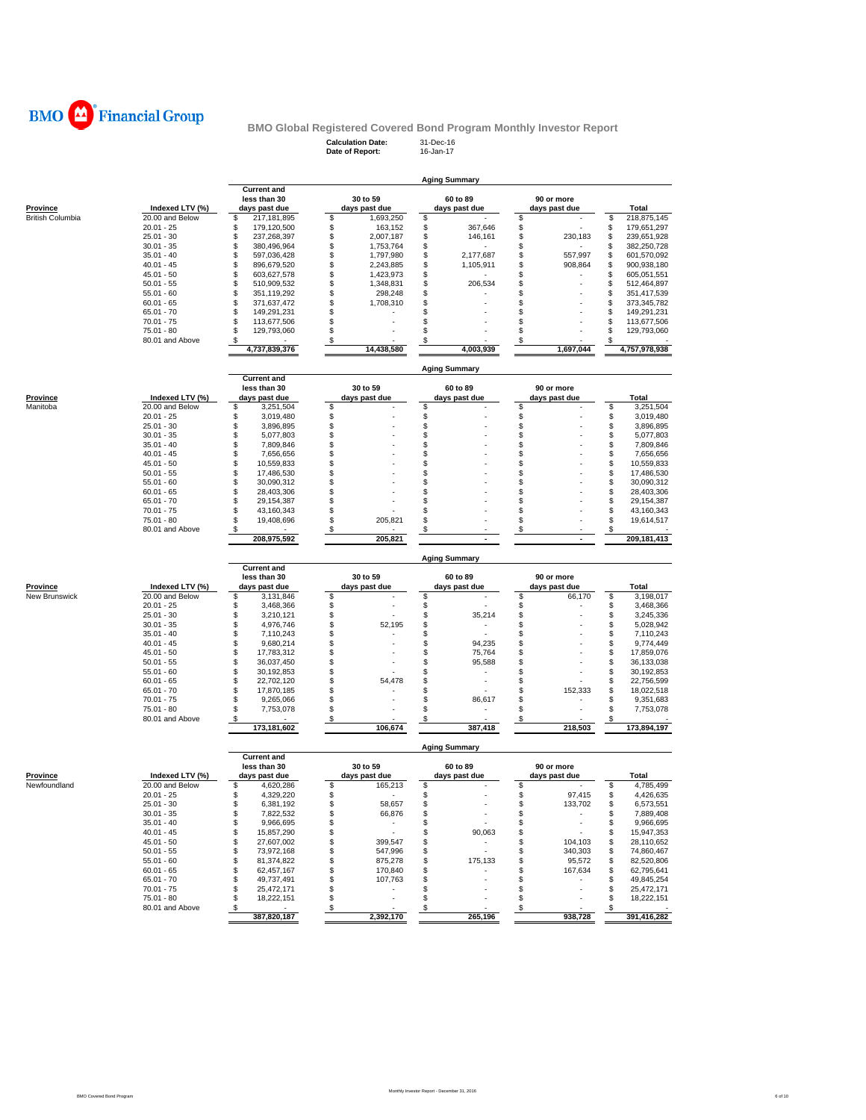

**Calculation Date:** 31-Dec-16 **Date of Report:** 16-Jan-17

|                         |                                    | <b>Current and</b><br>less than 30     | 30 to 59                         | 60 to 89                     | 90 or more                    |                                        |  |  |  |  |  |  |
|-------------------------|------------------------------------|----------------------------------------|----------------------------------|------------------------------|-------------------------------|----------------------------------------|--|--|--|--|--|--|
| Province                | Indexed LTV (%)                    | days past due                          | days past due                    | days past due                | days past due                 | Total                                  |  |  |  |  |  |  |
| <b>British Columbia</b> | 20.00 and Below                    | \$<br>217, 181, 895                    | \$<br>1,693,250                  | \$                           | \$                            | \$<br>218,875,145                      |  |  |  |  |  |  |
|                         | $20.01 - 25$<br>$25.01 - 30$       | \$<br>179,120,500<br>\$<br>237,268,397 | \$<br>163,152<br>\$<br>2,007,187 | \$<br>367,646<br>\$          | \$<br>\$<br>230,183           | \$<br>179,651,297<br>\$<br>239,651,928 |  |  |  |  |  |  |
|                         | $30.01 - 35$                       | \$<br>380,496,964                      | \$<br>1,753,764                  | 146,161<br>\$                | \$                            | \$<br>382,250,728                      |  |  |  |  |  |  |
|                         | $35.01 - 40$                       | \$<br>597,036,428                      | \$<br>1,797,980                  | \$<br>2,177,687              | \$<br>557,997                 | \$<br>601,570,092                      |  |  |  |  |  |  |
|                         | $40.01 - 45$                       | \$<br>896,679,520                      | \$<br>2,243,885                  | \$<br>1,105,911              | \$<br>908,864                 | \$<br>900,938,180                      |  |  |  |  |  |  |
|                         | $45.01 - 50$                       | \$<br>603,627,578                      | \$<br>1,423,973                  | \$                           | \$                            | \$<br>605,051,551                      |  |  |  |  |  |  |
|                         | $50.01 - 55$                       | \$<br>510,909,532                      | \$<br>1,348,831                  | \$<br>206,534                | \$                            | \$<br>512,464,897                      |  |  |  |  |  |  |
|                         | $55.01 - 60$                       | \$<br>351,119,292                      | \$<br>298,248                    | \$                           | \$                            | \$<br>351,417,539                      |  |  |  |  |  |  |
|                         | $60.01 - 65$<br>$65.01 - 70$       | \$<br>371,637,472<br>\$<br>149,291,231 | \$<br>1,708,310<br>\$            | \$<br>\$                     | \$<br>\$                      | \$<br>373,345,782<br>\$<br>149,291,231 |  |  |  |  |  |  |
|                         | $70.01 - 75$                       | \$<br>113,677,506                      | \$                               | \$                           | \$                            | \$<br>113,677,506                      |  |  |  |  |  |  |
|                         | 75.01 - 80                         | \$<br>129,793,060                      | \$                               | \$                           | \$                            | \$<br>129,793,060                      |  |  |  |  |  |  |
|                         | 80.01 and Above                    | \$                                     | \$                               | \$                           | \$                            | S                                      |  |  |  |  |  |  |
|                         |                                    | 4,737,839,376                          | 14,438,580                       | 4,003,939                    | 1.697.044                     | 4,757,978,938                          |  |  |  |  |  |  |
|                         |                                    | Aging Summary                          |                                  |                              |                               |                                        |  |  |  |  |  |  |
|                         |                                    | <b>Current and</b>                     |                                  |                              |                               |                                        |  |  |  |  |  |  |
|                         |                                    | less than 30                           | 30 to 59                         | 60 to 89                     | 90 or more                    |                                        |  |  |  |  |  |  |
| Province<br>Manitoba    | Indexed LTV (%)<br>20.00 and Below | days past due<br>\$<br>3,251,504       | days past due<br>\$              | days past due<br>\$          | days past due<br>\$           | Total<br>S<br>3,251,504                |  |  |  |  |  |  |
|                         | $20.01 - 25$                       | \$<br>3,019,480                        | \$                               | \$                           | \$                            | S<br>3,019,480                         |  |  |  |  |  |  |
|                         | $25.01 - 30$                       | \$<br>3,896,895                        | \$                               | \$                           | \$                            | \$<br>3,896,895                        |  |  |  |  |  |  |
|                         | $30.01 - 35$                       | \$<br>5,077,803                        | \$                               | \$                           | \$                            | \$<br>5,077,803                        |  |  |  |  |  |  |
|                         | $35.01 - 40$                       | \$<br>7,809,846                        | \$                               | \$                           | \$                            | S<br>7,809,846                         |  |  |  |  |  |  |
|                         | $40.01 - 45$                       | \$<br>7,656,656                        | \$                               | \$                           | \$                            | S<br>7,656,656                         |  |  |  |  |  |  |
|                         | $45.01 - 50$<br>$50.01 - 55$       | \$<br>10,559,833                       | \$<br>\$                         | \$                           | \$<br>\$                      | S<br>10,559,833<br>S                   |  |  |  |  |  |  |
|                         | $55.01 - 60$                       | \$<br>17,486,530<br>\$<br>30,090,312   | \$                               | \$<br>\$                     | \$                            | 17,486,530<br>S<br>30,090,312          |  |  |  |  |  |  |
|                         | $60.01 - 65$                       | \$<br>28,403,306                       | \$                               | \$                           | \$                            | S<br>28,403,306                        |  |  |  |  |  |  |
|                         | $65.01 - 70$                       | \$<br>29,154,387                       | \$                               | \$                           | \$                            | \$<br>29, 154, 387                     |  |  |  |  |  |  |
|                         | $70.01 - 75$                       | \$<br>43,160,343                       | \$                               | \$                           | \$                            | S<br>43,160,343                        |  |  |  |  |  |  |
|                         | 75.01 - 80                         | \$<br>19,408,696                       | \$<br>205,821                    | \$                           | \$                            | \$<br>19,614,517                       |  |  |  |  |  |  |
|                         | 80.01 and Above                    | \$<br>208,975,592                      | \$<br>205,821                    | \$                           | \$                            | \$<br>209, 181, 413                    |  |  |  |  |  |  |
|                         |                                    |                                        |                                  | <b>Aging Summary</b>         |                               |                                        |  |  |  |  |  |  |
|                         |                                    | <b>Current and</b>                     |                                  |                              |                               |                                        |  |  |  |  |  |  |
| Province                | Indexed LTV (%)                    | less than 30<br>days past due          | 30 to 59<br>days past due        | 60 to 89                     | 90 or more                    | Total                                  |  |  |  |  |  |  |
| New Brunswick           | 20.00 and Below                    | \$<br>3,131,846                        | \$                               | days past due<br>\$          | days past due<br>\$<br>66,170 | \$<br>3,198,017                        |  |  |  |  |  |  |
|                         | $20.01 - 25$                       | \$<br>3,468,366                        | \$                               | \$                           | \$                            | \$<br>3,468,366                        |  |  |  |  |  |  |
|                         | $25.01 - 30$                       | \$<br>3,210,121                        | \$                               | \$<br>35,214                 | \$                            | S<br>3,245,336                         |  |  |  |  |  |  |
|                         | $30.01 - 35$                       | \$<br>4,976,746                        | \$<br>52,195                     | \$                           | \$                            | S<br>5,028,942                         |  |  |  |  |  |  |
|                         | $35.01 - 40$                       | \$<br>7,110,243                        | \$                               | \$                           | \$                            | S<br>7,110,243                         |  |  |  |  |  |  |
|                         | $40.01 - 45$                       | \$<br>9,680,214                        | \$                               | \$<br>94,235                 | \$                            | S<br>9,774,449                         |  |  |  |  |  |  |
|                         | $45.01 - 50$                       | \$<br>17,783,312<br>\$                 | \$<br>\$                         | \$<br>75,764<br>\$<br>95,588 | \$<br>\$                      | 17,859,076<br>S<br>36,133,038<br>\$    |  |  |  |  |  |  |
|                         | $50.01 - 55$<br>$55.01 - 60$       | 36,037,450<br>\$<br>30,192,853         | \$                               | \$                           | \$                            | 30,192,853<br>S                        |  |  |  |  |  |  |
|                         | $60.01 - 65$                       | \$<br>22,702,120                       | \$<br>54,478                     | \$                           | \$                            | S<br>22,756,599                        |  |  |  |  |  |  |
|                         | $65.01 - 70$                       | \$<br>17,870,185                       | \$                               | \$                           | \$<br>152,333                 | S<br>18,022,518                        |  |  |  |  |  |  |
|                         | $70.01 - 75$                       | \$<br>9,265,066                        | \$                               | \$<br>86,617                 | \$                            | S<br>9,351,683                         |  |  |  |  |  |  |
|                         | 75.01 - 80<br>80.01 and Above      | \$<br>7,753,078<br>\$                  | \$<br>\$                         | \$<br>\$                     | \$<br>\$                      | 7,753,078<br>S<br>\$                   |  |  |  |  |  |  |
|                         |                                    | 173,181,602                            | 106,674                          | 387,418                      | 218,503                       | 173,894,197                            |  |  |  |  |  |  |
|                         |                                    |                                        |                                  | <b>Aging Summary</b>         |                               |                                        |  |  |  |  |  |  |
|                         |                                    | <b>Current and</b><br>less than 30     | 30 to 59                         | 60 to 89                     | 90 or more                    |                                        |  |  |  |  |  |  |
| Province                | Indexed LTV (%)                    | days past due                          | days past due                    | days past due                | days past due                 | Total                                  |  |  |  |  |  |  |
| Newfoundland            | 20.00 and Below                    | 4,620,286<br>\$                        | \$<br>165,213                    | \$                           | \$                            | \$<br>4,785,499                        |  |  |  |  |  |  |
|                         | $20.01 - 25$                       | \$<br>4,329,220                        | \$                               | \$                           | \$<br>97,415                  | \$<br>4,426,635                        |  |  |  |  |  |  |
|                         | $25.01 - 30$                       | \$<br>6,381,192                        | \$<br>58,657                     | \$                           | \$<br>133,702                 | 6,573,551<br>\$                        |  |  |  |  |  |  |
|                         | $30.01 - 35$                       | \$<br>7,822,532                        | \$<br>66,876                     | \$                           | \$<br>$\sim$                  | \$<br>7,889,408                        |  |  |  |  |  |  |
|                         | $35.01 - 40$                       | \$<br>9,966,695<br>\$                  | \$<br>$\sim$<br>$\sim$<br>\$     | \$                           | \$<br>$\sim$                  | 9,966,695<br>\$                        |  |  |  |  |  |  |
|                         | $40.01 - 45$<br>$45.01 - 50$       | 15,857,290<br>\$<br>27.607.002         | \$<br>399,547                    | \$<br>90,063<br>\$<br>$\sim$ | \$<br>\$<br>104,103           | 15,947,353<br>\$<br>\$<br>28.110.652   |  |  |  |  |  |  |
|                         | $50.01 - 55$                       | \$<br>73,972,168                       | \$<br>547,996                    | \$<br>$\sim$                 | \$<br>340,303                 | 74,860,467<br>\$                       |  |  |  |  |  |  |
|                         | $55.01 - 60$                       | \$<br>81,374,822                       | \$<br>875,278                    | \$<br>175,133                | \$<br>95,572                  | 82,520,806<br>\$                       |  |  |  |  |  |  |
|                         | $60.01 - 65$                       | \$<br>62,457,167                       | \$<br>170,840                    | \$<br>٠                      | \$<br>167,634                 | 62,795,641<br>\$                       |  |  |  |  |  |  |
|                         | $65.01 - 70$                       | \$<br>49,737,491                       | \$<br>107.763                    | \$                           | \$<br>$\sim$                  | \$<br>49,845,254                       |  |  |  |  |  |  |
|                         | $70.01 - 75$                       | \$<br>25,472,171                       | \$<br>$\sim$                     | \$                           | \$                            | 25,472,171<br>\$                       |  |  |  |  |  |  |
|                         | 75.01 - 80                         | \$<br>18,222,151                       | \$<br>$\epsilon$                 | \$                           | \$<br>×.                      | 18,222,151<br>\$                       |  |  |  |  |  |  |
|                         | 80.01 and Above                    | \$<br>$\sim 100$<br>387,820,187        | \$<br>2,392,170                  | \$<br>265,196                | \$<br>938,728                 | \$<br>391,416,282                      |  |  |  |  |  |  |
|                         |                                    |                                        |                                  |                              |                               |                                        |  |  |  |  |  |  |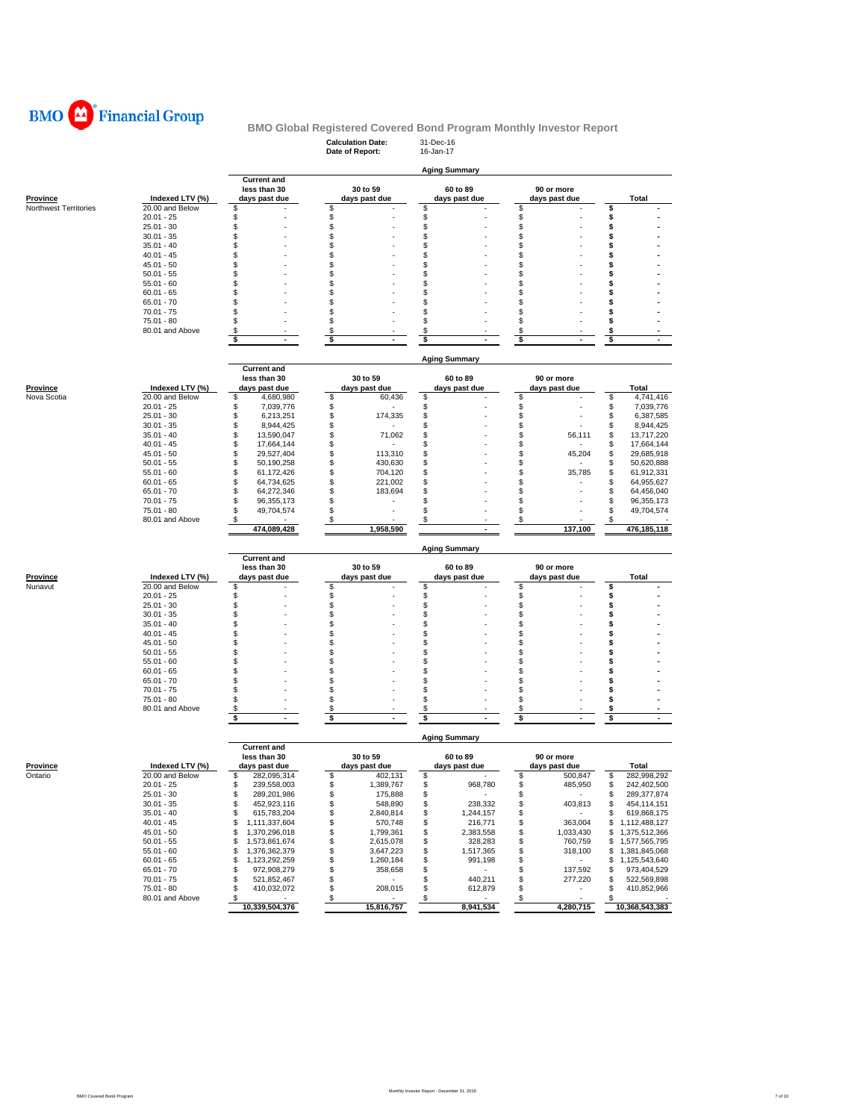

## **Calculation Date:** 31-Dec-16 **BMO Global Registered Covered Bond Program Monthly Investor Report**

|                       |                               |                                             | Date of Report:                    | 16-Jan-17                              |                          |                                      |
|-----------------------|-------------------------------|---------------------------------------------|------------------------------------|----------------------------------------|--------------------------|--------------------------------------|
|                       |                               |                                             |                                    |                                        |                          |                                      |
|                       |                               | <b>Current and</b>                          |                                    | <b>Aging Summary</b>                   |                          |                                      |
|                       |                               | less than 30                                | 30 to 59                           | 60 to 89                               | 90 or more               |                                      |
| Province              | Indexed LTV (%)               | days past due                               | days past due                      | days past due                          | days past due            | Total                                |
| Northwest Territories | 20.00 and Below               | \$                                          | \$                                 | \$                                     | \$                       | \$                                   |
|                       | $20.01 - 25$                  | \$                                          | \$                                 | \$                                     | \$                       | \$                                   |
|                       | $25.01 - 30$<br>$30.01 - 35$  | \$<br>\$                                    | \$<br>\$                           | \$<br>\$                               | \$<br>\$                 | \$<br>\$                             |
|                       | $35.01 - 40$                  | \$                                          | \$                                 | \$                                     | \$                       | \$                                   |
|                       | $40.01 - 45$                  | \$                                          | \$                                 | \$                                     | \$                       | \$                                   |
|                       | $45.01 - 50$                  | \$                                          | \$                                 | S                                      | \$                       | \$                                   |
|                       | $50.01 - 55$                  | \$                                          | \$                                 | S                                      | \$                       | \$                                   |
|                       | $55.01 - 60$                  | \$                                          | \$                                 | \$                                     | \$                       | \$                                   |
|                       | $60.01 - 65$                  | \$                                          | \$                                 | \$                                     | \$                       | \$                                   |
|                       | $65.01 - 70$                  | Ŝ                                           | \$                                 | s                                      | \$                       | \$                                   |
|                       | $70.01 - 75$                  | Ŝ                                           | \$                                 | \$                                     | \$                       | \$                                   |
|                       | 75.01 - 80<br>80.01 and Above | S<br>\$                                     | \$<br>\$                           | S<br>\$                                | \$                       | \$<br>\$                             |
|                       |                               | \$<br>$\sim$                                | \$<br>$\sim$                       | \$                                     | \$<br>\$<br>$\mathbf{r}$ | \$<br>$\mathbf{r}$                   |
|                       |                               |                                             |                                    |                                        |                          |                                      |
|                       |                               |                                             |                                    | <b>Aging Summary</b>                   |                          |                                      |
|                       |                               | <b>Current and</b>                          |                                    |                                        |                          |                                      |
|                       |                               | less than 30                                | 30 to 59                           | 60 to 89                               | 90 or more               |                                      |
| Province              | Indexed LTV (%)               | days past due                               | days past due                      | days past due                          | days past due            | Total                                |
| Nova Scotia           | 20.00 and Below               | \$<br>4,680,980                             | \$<br>60,436                       | \$                                     | \$                       | \$<br>4,741,416                      |
|                       | $20.01 - 25$                  | \$<br>7,039,776                             | \$                                 | \$                                     | \$                       | \$<br>7,039,776                      |
|                       | $25.01 - 30$                  | \$<br>6,213,251                             | \$<br>174,335                      | \$                                     | \$                       | \$<br>6,387,585                      |
|                       | $30.01 - 35$                  | \$<br>8,944,425                             | \$                                 | S                                      | \$                       | \$<br>8,944,425                      |
|                       | $35.01 - 40$                  | \$<br>13,590,047                            | \$<br>71,062                       | \$<br>\$                               | \$<br>56,111             | \$<br>13,717,220                     |
|                       | $40.01 - 45$<br>$45.01 - 50$  | \$<br>17,664,144<br>\$                      | \$                                 | \$                                     | \$                       | \$<br>17,664,144                     |
|                       | $50.01 - 55$                  | 29,527,404<br>\$<br>50,190,258              | \$<br>113,310<br>\$<br>430,630     | S                                      | \$<br>45,204<br>\$       | \$<br>29,685,918<br>\$<br>50,620,888 |
|                       | $55.01 - 60$                  | \$<br>61,172,426                            | \$<br>704,120                      | \$                                     | \$<br>35,785             | \$<br>61,912,331                     |
|                       | $60.01 - 65$                  | \$<br>64,734,625                            | \$<br>221,002                      | \$                                     | \$                       | \$<br>64,955,627                     |
|                       | $65.01 - 70$                  | \$<br>64,272,346                            | \$<br>183,694                      | \$                                     | \$                       | \$<br>64,456,040                     |
|                       | $70.01 - 75$                  | \$<br>96,355,173                            | \$                                 | S                                      | \$                       | \$<br>96,355,173                     |
|                       | 75.01 - 80                    | \$<br>49,704,574                            | \$                                 | S                                      | \$                       | 49,704,574<br>\$                     |
|                       | 80.01 and Above               | S                                           | \$                                 | \$                                     | \$                       | \$                                   |
|                       |                               | 474,089,428                                 | 1,958,590                          |                                        | 137,100                  | 476,185,118                          |
|                       |                               |                                             |                                    | <b>Aging Summary</b>                   |                          |                                      |
|                       |                               | <b>Current and</b>                          |                                    |                                        |                          |                                      |
|                       |                               | less than 30                                | 30 to 59                           | 60 to 89                               | 90 or more               |                                      |
| Province              | Indexed LTV (%)               | days past due                               | days past due                      | days past due                          | days past due            | <b>Total</b>                         |
| Nunavut               | 20.00 and Below               | \$                                          | \$                                 | \$                                     | \$                       | \$                                   |
|                       | $20.01 - 25$                  | \$                                          | \$                                 | \$                                     | \$                       | \$                                   |
|                       | $25.01 - 30$                  | \$                                          | \$                                 | \$                                     | \$                       | \$                                   |
|                       | $30.01 - 35$                  | \$                                          | \$                                 | \$                                     | \$                       | \$                                   |
|                       | $35.01 - 40$                  | \$<br>\$                                    | \$<br>\$                           | \$<br>S                                | \$                       | \$<br>\$                             |
|                       | $40.01 - 45$<br>$45.01 - 50$  | \$                                          | \$                                 | \$                                     | \$<br>\$                 | \$                                   |
|                       | $50.01 - 55$                  | Ŝ                                           | \$                                 | S                                      | \$                       | \$                                   |
|                       | $55.01 - 60$                  | \$                                          | \$                                 | \$                                     | \$                       | \$                                   |
|                       | $60.01 - 65$                  | \$                                          | \$                                 | S                                      | \$                       | \$                                   |
|                       | $65.01 - 70$                  | \$                                          | \$                                 | \$                                     | \$                       | \$                                   |
|                       | $70.01 - 75$                  | \$                                          | \$                                 | \$                                     | \$                       | \$                                   |
|                       | $75.01 - 80$                  | S                                           | \$                                 | \$                                     | \$                       | \$                                   |
|                       | 80.01 and Above               | \$                                          | \$                                 | S                                      | \$                       | \$                                   |
|                       |                               | \$                                          | \$<br>$\blacksquare$               | \$                                     | \$                       | \$                                   |
|                       |                               |                                             |                                    | <b>Aging Summary</b>                   |                          |                                      |
|                       |                               | <b>Current and</b>                          |                                    |                                        |                          |                                      |
|                       |                               | less than 30                                | 30 to 59                           | 60 to 89                               | 90 or more               |                                      |
| Province              | Indexed LTV (%)               | days past due                               | days past due                      | days past due                          | days past due            | Total                                |
| Ontario               | 20.00 and Below               | \$<br>282,095,314                           | \$<br>402,131                      | \$                                     | \$<br>500,847            | \$<br>282,998,292                    |
|                       | 20.01 - 25<br>$25.01 - 30$    | 239,558,003<br>\$                           | æ.<br>1,389,767<br>\$              | 968,780<br>\$                          | s<br>485,950             | S<br>242,402,500<br>\$               |
|                       | $30.01 - 35$                  | 289,201,986<br>452,923,116<br>\$            | 175,888<br>548,890<br>\$           | 238,332<br>\$                          | \$<br>403,813<br>\$      | 289,377,874<br>\$<br>454,114,151     |
|                       | $35.01 - 40$                  | \$<br>615,783,204                           | \$<br>2,840,814                    | \$<br>1,244,157                        | \$<br>$\sim$             | 619,868,175<br>\$                    |
|                       | $40.01 - 45$                  | \$<br>1,111,337,604                         | \$<br>570,748                      | \$<br>216,771                          | 363,004<br>\$            | \$<br>1,112,488,127                  |
|                       |                               |                                             | \$<br>1,799,361                    | \$<br>2,383,558                        | \$<br>1,033,430          | \$1,375,512,366                      |
|                       |                               |                                             |                                    |                                        |                          |                                      |
|                       | $45.01 - 50$                  | \$<br>1,370,296,018                         |                                    |                                        |                          | \$                                   |
|                       | $50.01 - 55$                  | \$<br>1,573,861,674                         | \$<br>2,615,078                    | 328,283<br>\$                          | \$<br>760,759            | 1,577,565,795<br>\$                  |
|                       | $55.01 - 60$<br>$60.01 - 65$  | \$<br>1,376,362,379<br>\$<br>1,123,292,259  | \$<br>3,647,223<br>\$<br>1,260,184 | \$<br>1,517,365<br>\$<br>991.198       | \$<br>318,100<br>\$      | 1,381,845,068<br>1,125,543,640<br>\$ |
|                       | $65.01 - 70$                  | \$<br>972,908,279                           | \$<br>358,658                      | \$                                     | \$<br>137,592            | 973,404,529<br>\$                    |
|                       | $70.01 - 75$                  | \$<br>521,852,467                           | \$<br>$\sim$                       | 440,211<br>\$                          | \$<br>277,220            | \$<br>522,569,898                    |
|                       | 75.01 - 80                    | \$<br>410,032,072                           | 208,015<br>\$                      | 612,879<br>\$                          | \$<br>$\sim$             | 410,852,966<br>\$                    |
|                       | 80.01 and Above               | $\boldsymbol{\mathsf{s}}$<br>10,339,504,376 | $\sqrt{3}$<br>15,816,757           | $\boldsymbol{\mathsf{S}}$<br>8,941,534 | $\sqrt{3}$<br>4,280,715  | \$<br>10,368,543,383                 |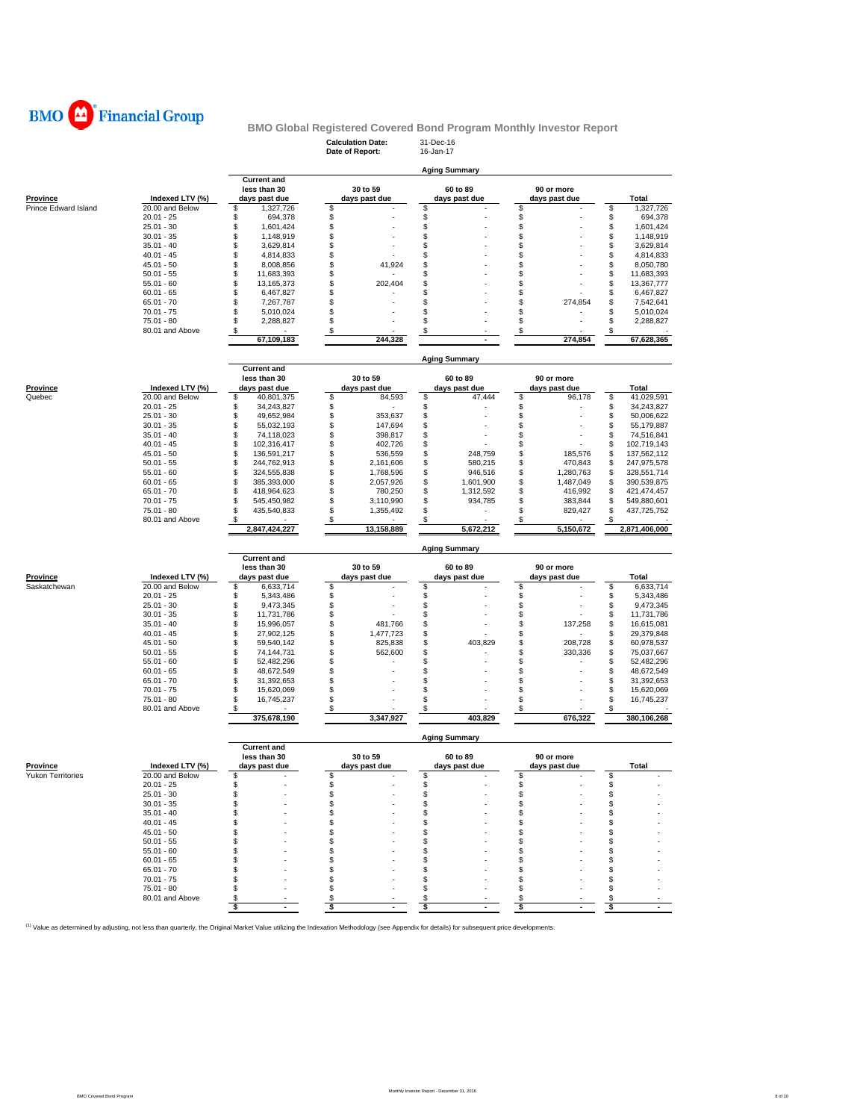

## **Calculation Date:** 31-Dec-16 **BMO Global Registered Covered Bond Program Monthly Investor Report**

|                      |                 |                                    | Date of Report: | 16-Jan-17                 |                 |                                      |
|----------------------|-----------------|------------------------------------|-----------------|---------------------------|-----------------|--------------------------------------|
|                      |                 |                                    |                 |                           |                 |                                      |
|                      |                 |                                    |                 | <b>Aging Summary</b>      |                 |                                      |
|                      |                 | <b>Current and</b><br>less than 30 | 30 to 59        |                           | 90 or more      |                                      |
| <b>Province</b>      | Indexed LTV (%) | days past due                      | days past due   | 60 to 89<br>days past due | days past due   | Total                                |
| Prince Edward Island | 20.00 and Below | \$<br>1,327,726                    | \$              | \$                        | \$              | \$<br>1,327,726                      |
|                      | $20.01 - 25$    | \$<br>694,378                      | \$              | \$                        | \$              | \$<br>694,378                        |
|                      | $25.01 - 30$    | \$<br>1,601,424                    | \$              | \$                        | \$              | \$<br>1,601,424                      |
|                      | $30.01 - 35$    | \$<br>1,148,919                    | \$              | \$                        | \$              | \$<br>1,148,919                      |
|                      | $35.01 - 40$    | \$<br>3,629,814                    | \$              | \$                        | \$              | \$<br>3,629,814                      |
|                      | $40.01 - 45$    | \$<br>4,814,833                    | \$              | \$                        | \$              | \$<br>4,814,833                      |
|                      | $45.01 - 50$    | \$<br>8,008,856                    | \$<br>41,924    | \$                        | \$              | \$<br>8,050,780                      |
|                      | $50.01 - 55$    | \$<br>11,683,393                   | \$              | \$                        | \$              | \$<br>11,683,393                     |
|                      | $55.01 - 60$    | \$<br>13,165,373                   | \$<br>202,404   | \$                        | \$              | \$<br>13,367,777                     |
|                      | $60.01 - 65$    | \$<br>6,467,827                    | \$              | \$                        | \$              | \$<br>6,467,827                      |
|                      | $65.01 - 70$    | \$                                 | \$              | \$                        | S<br>274,854    | \$<br>7,542,641                      |
|                      | $70.01 - 75$    | 7,267,787<br>\$<br>5,010,024       | \$              | \$                        | \$              | \$<br>5,010,024                      |
|                      | 75.01 - 80      | \$<br>2,288,827                    | \$              | \$                        |                 | \$<br>2,288,827                      |
|                      | 80.01 and Above | \$                                 | \$              | \$                        | \$<br>\$        | \$                                   |
|                      |                 | 67,109,183                         | 244,328         |                           | 274,854         | 67,628,365                           |
|                      |                 |                                    |                 |                           |                 |                                      |
|                      |                 |                                    |                 | <b>Aging Summary</b>      |                 |                                      |
|                      |                 | <b>Current and</b>                 |                 |                           |                 |                                      |
|                      |                 | less than 30                       | 30 to 59        | 60 to 89                  | 90 or more      |                                      |
| Province             | Indexed LTV (%) | days past due                      | days past due   | days past due             | days past due   | Total                                |
| Quebec               | 20.00 and Below | \$<br>40,801,375                   | \$<br>84,593    | \$<br>47,444              | \$<br>96,178    | \$<br>41,029,591                     |
|                      | $20.01 - 25$    | \$                                 | \$              | \$                        | \$              |                                      |
|                      | $25.01 - 30$    | 34,243,827<br>\$<br>49,652,984     | \$<br>353,637   | \$                        | \$              | \$<br>34,243,827<br>\$<br>50,006,622 |
|                      |                 | \$                                 | \$              |                           |                 | \$                                   |
|                      | $30.01 - 35$    | 55,032,193<br>\$<br>74,118,023     | 147,694<br>\$   | \$                        | \$<br>\$        | 55,179,887<br>\$                     |
|                      | $35.01 - 40$    |                                    | 398,817         | \$                        |                 | 74,516,841                           |
|                      | $40.01 - 45$    | \$<br>102,316,417                  | \$<br>402,726   | \$                        | \$              | \$<br>102,719,143                    |
|                      | $45.01 - 50$    | \$<br>136,591,217                  | \$<br>536,559   | \$<br>248,759             | 185,576<br>S    | \$<br>137,562,112                    |
|                      | $50.01 - 55$    | \$<br>244,762,913                  | \$<br>2,161,606 | \$<br>580,215             | \$<br>470,843   | \$<br>247,975,578                    |
|                      | $55.01 - 60$    | \$<br>324,555,838                  | \$<br>1,768,596 | \$<br>946,516             | \$<br>1,280,763 | \$<br>328,551,714                    |
|                      | $60.01 - 65$    | \$<br>385,393,000                  | \$<br>2,057,926 | \$<br>1,601,900           | \$<br>1,487,049 | \$<br>390,539,875                    |
|                      | $65.01 - 70$    | \$<br>418,964,623                  | \$<br>780,250   | \$<br>1,312,592           | \$<br>416,992   | 421,474,457<br>\$                    |
|                      | $70.01 - 75$    | \$<br>545,450,982                  | \$<br>3,110,990 | \$<br>934,785             | \$<br>383,844   | \$<br>549,880,601                    |
|                      | 75.01 - 80      | \$<br>435,540,833                  | \$<br>1,355,492 | \$                        | S<br>829,427    | \$<br>437,725,752                    |
|                      | 80.01 and Above | \$                                 | \$              | \$                        | \$<br>5,150,672 | \$                                   |
|                      |                 | 2,847,424,227                      | 13,158,889      | 5,672,212                 |                 | 2,871,406,000                        |
|                      |                 |                                    |                 |                           |                 |                                      |
|                      |                 |                                    |                 | <b>Aging Summary</b>      |                 |                                      |
|                      |                 | <b>Current and</b>                 |                 |                           |                 |                                      |
|                      |                 | less than 30                       | 30 to 59        | 60 to 89                  | 90 or more      |                                      |
| <b>Province</b>      | Indexed LTV (%) | days past due                      | days past due   | days past due             | days past due   | Total                                |
| Saskatchewan         | 20.00 and Below | \$<br>6,633,714                    | \$              | \$                        | \$              | \$<br>6,633,714                      |
|                      | $20.01 - 25$    | \$<br>5,343,486                    | \$              | \$                        | \$              | \$<br>5,343,486                      |
|                      | $25.01 - 30$    | \$<br>9,473,345                    | \$              | \$                        | \$              | \$<br>9,473,345                      |
|                      | $30.01 - 35$    | \$<br>11,731,786                   | \$              | \$                        | \$              | \$<br>11,731,786                     |
|                      | $35.01 - 40$    | \$<br>15,996,057                   | \$<br>481,766   | \$                        | \$<br>137,258   | \$<br>16,615,081                     |
|                      | $40.01 - 45$    | \$<br>27,902,125                   | \$<br>1,477,723 | \$                        | \$              | \$<br>29,379,848                     |
|                      | $45.01 - 50$    | \$<br>59,540,142                   | \$<br>825,838   | \$<br>403,829             | \$<br>208,728   | \$<br>60,978,537                     |
|                      | $50.01 - 55$    | \$<br>74,144,731                   | \$<br>562,600   | \$                        | 330,336<br>\$   | \$<br>75,037,667                     |
|                      | $55.01 - 60$    | \$<br>52,482,296                   | \$              | \$                        | \$              | \$<br>52,482,296                     |
|                      | $60.01 - 65$    | \$<br>48,672,549                   | \$              | \$                        | \$              | \$<br>48,672,549                     |
|                      | $65.01 - 70$    | \$<br>31,392,653                   | \$              | \$                        | \$              | \$<br>31,392,653                     |
|                      | $70.01 - 75$    | \$<br>15,620,069                   | \$              | \$                        | \$              | \$<br>15,620,069                     |
|                      | 75.01 - 80      | \$<br>16,745,237                   | \$              | \$                        | \$              | \$<br>16,745,237                     |
|                      | 80.01 and Above | \$                                 | \$              | \$                        | \$              | \$                                   |
|                      |                 | 375,678,190                        | 3,347,927       | 403,829                   | 676,322         | 380,106,268                          |
|                      |                 |                                    |                 | <b>Aging Summary</b>      |                 |                                      |
|                      |                 | <b>Current and</b>                 |                 |                           |                 |                                      |
|                      |                 | less than 30                       | 30 to 59        | 60 to 89                  | 90 or more      |                                      |
| <b>Province</b>      | Indexed LTV (%) | days past due                      | days past due   | days past due             | days past due   | <b>Total</b>                         |
| Yukon Territories    | 20.00 and Below | \$                                 | \$              | \$                        | \$              | \$                                   |
|                      | $20.01 - 25$    | \$                                 | \$              | \$                        | \$              | \$                                   |
|                      | $25.01 - 30$    | \$                                 | \$              | \$                        | \$              | \$                                   |
|                      | $30.01 - 35$    | \$                                 | \$              | \$                        | \$              | \$                                   |
|                      | $35.01 - 40$    | \$                                 | \$              | \$                        | \$              | \$                                   |
|                      | $40.01 - 45$    | \$                                 | \$<br>×,        | \$                        | \$<br>٠         | \$                                   |
|                      | $45.01 - 50$    | \$                                 | \$              | \$                        | \$              | \$                                   |
|                      | $50.01 - 55$    | \$                                 | \$              | \$                        | \$              | \$                                   |
|                      | $55.01 - 60$    | \$                                 | \$              | \$                        | \$              | \$                                   |
|                      | $60.01 - 65$    | \$                                 | \$              | S                         | S               | \$                                   |
|                      | $65.01 - 70$    | \$                                 | \$              | \$                        | \$              | \$                                   |
|                      | $70.01 - 75$    | \$                                 | \$              | \$                        | \$              | \$                                   |
|                      | $75.01 - 80$    | \$                                 | \$              | \$                        | \$              | \$                                   |
|                      | 80.01 and Above | \$<br>\$                           | \$<br>\$        | \$<br>\$                  | \$<br>\$        | \$<br>\$                             |

<sup>(1)</sup> Value as determined by adjusting, not less than quarterly, the Original Market Value utilizing the Indexation Methodology (see Appendix for details) for subsequent price developments.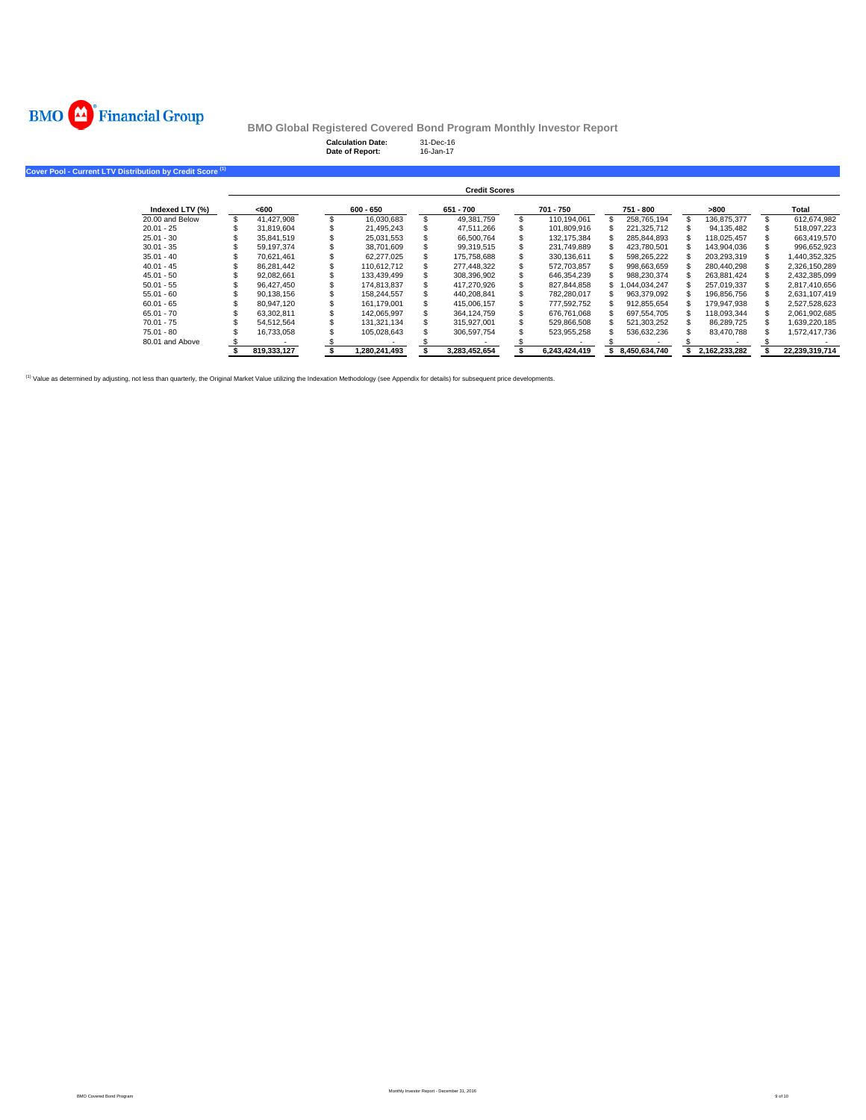

Cover Pool

**BMO Global Registered Covered Bond Program Monthly Investor Report**

**Calculation Date:** 31-Dec-16 **Date of Report:** 16-Jan-17

| Current LTV Distribution by Credit Score <sup>(1)</sup> |             |                  |                      |     |               |               |               |                |
|---------------------------------------------------------|-------------|------------------|----------------------|-----|---------------|---------------|---------------|----------------|
|                                                         |             |                  | <b>Credit Scores</b> |     |               |               |               |                |
| Indexed LTV (%)                                         | <600        | $600 - 650$      | 651 - 700            |     | 701 - 750     | 751 - 800     | >800          | Total          |
| 20.00 and Below                                         | 41.427.908  | \$<br>16,030,683 | 49.381.759           | \$. | 110.194.061   | 258.765.194   | 136.875.377   | 612,674,982    |
| $20.01 - 25$                                            | 31.819.604  | 21.495.243       | 47.511.266           |     | 101.809.916   | 221.325.712   | 94.135.482    | 518.097.223    |
| $25.01 - 30$                                            | 35.841.519  | 25.031.553       | 66,500,764           |     | 132.175.384   | 285.844.893   | 118.025.457   | 663.419.570    |
| $30.01 - 35$                                            | 59.197.374  | 38,701,609       | 99.319.515           |     | 231.749.889   | 423.780.501   | 143.904.036   | 996,652,923    |
| $35.01 - 40$                                            | 70.621.461  | 62.277.025       | 175,758,688          |     | 330.136.611   | 598,265,222   | 203,293,319   | 1,440,352,325  |
| $40.01 - 45$                                            | 86.281.442  | 110.612.712      | 277.448.322          |     | 572,703,857   | 998,663,659   | 280,440,298   | 2,326,150,289  |
| $45.01 - 50$                                            | 92.082.661  | 133.439.499      | 308,396,902          |     | 646.354.239   | 988.230.374   | 263.881.424   | 2,432,385,099  |
| $50.01 - 55$                                            | 96.427.450  | 174.813.837      | 417.270.926          |     | 827,844,858   | 1.044.034.247 | 257.019.337   | 2.817.410.656  |
| $55.01 - 60$                                            | 90,138,156  | 158,244,557      | 440,208,841          |     | 782,280,017   | 963,379,092   | 196,856,756   | 2,631,107,419  |
| $60.01 - 65$                                            | 80.947.120  | 161.179.001      | 415.006.157          |     | 777.592.752   | 912,855,654   | 179,947,938   | 2,527,528,623  |
| $65.01 - 70$                                            | 63.302.811  | 142.065.997      | 364,124,759          |     | 676.761.068   | 697,554,705   | 118,093,344   | 2,061,902,685  |
| $70.01 - 75$                                            | 54.512.564  | 131.321.134      | 315.927.001          |     | 529.866.508   | 521.303.252   | 86.289.725    | 1,639,220,185  |
| $75.01 - 80$                                            | 16,733,058  | 105,028,643      | 306,597,754          |     | 523,955,258   | 536,632,236   | 83,470,788    | 1,572,417,736  |
| 80.01 and Above                                         |             |                  |                      |     |               |               |               |                |
|                                                         | 819,333,127 | 1,280,241,493    | 3.283.452.654        |     | 6.243.424.419 | 8.450.634.740 | 2.162.233.282 | 22.239.319.714 |

(1) Value as determined by adjusting, not less than quarterly, the Original Market Value utilizing the Indexation Methodology (see Appendix for details) for subsequent price developments.